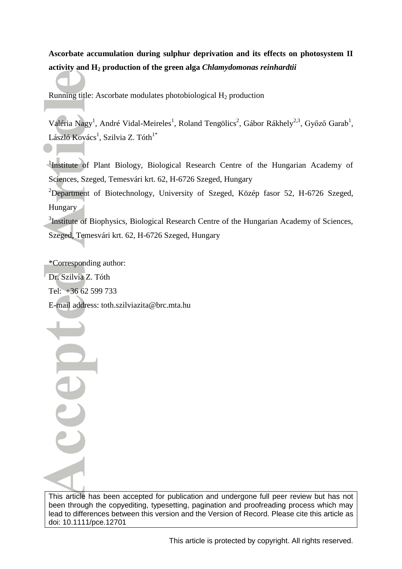**Ascorbate accumulation during sulphur deprivation and its effects on photosystem II activity and H<sup>2</sup> production of the green alga** *Chlamydomonas reinhardtii*

Running title: Ascorbate modulates photobiological  $H_2$  production

Valéria Nagy<sup>1</sup>, André Vidal-Meireles<sup>1</sup>, Roland Tengölics<sup>2</sup>, Gábor Rákhely<sup>2,3</sup>, Győző Garab<sup>1</sup>, László Kovács<sup>1</sup>, Szilvia Z. Tóth<sup>1\*</sup>

<sup>1</sup>Institute of Plant Biology, Biological Research Centre of the Hungarian Academy of Sciences, Szeged, Temesvári krt. 62, H-6726 Szeged, Hungary

<sup>2</sup>Department of Biotechnology, University of Szeged, Közép fasor 52, H-6726 Szeged, Hungary

<sup>3</sup>Institute of Biophysics, Biological Research Centre of the Hungarian Academy of Sciences, Szeged, Temesvári krt. 62, H-6726 Szeged, Hungary

\*Corresponding author: Dr. Szilvia Z. Tóth Tel: +36 62 599 733 E-mail address: toth.szilviazita@brc.mta.hu

UUU

This article has been accepted for publication and undergone full peer review but has not been through the copyediting, typesetting, pagination and proofreading process which may lead to differences between this version and the Version of Record. Please cite this article as doi: 10.1111/pce.12701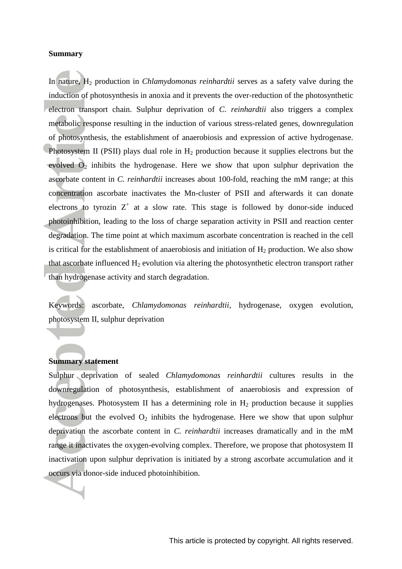#### **Summary**

In nature, H<sub>2</sub> production in *Chlamydomonas reinhardtii* serves as a safety valve during the induction of photosynthesis in anoxia and it prevents the over-reduction of the photosynthetic electron transport chain. Sulphur deprivation of *C. reinhardtii* also triggers a complex metabolic response resulting in the induction of various stress-related genes, downregulation of photosynthesis, the establishment of anaerobiosis and expression of active hydrogenase. Photosystem II (PSII) plays dual role in  $H_2$  production because it supplies electrons but the evolved  $O_2$  inhibits the hydrogenase. Here we show that upon sulphur deprivation the ascorbate content in *C. reinhardtii* increases about 100-fold, reaching the mM range; at this concentration ascorbate inactivates the Mn-cluster of PSII and afterwards it can donate electrons to tyrozin  $Z^+$  at a slow rate. This stage is followed by donor-side induced photoinhibition, leading to the loss of charge separation activity in PSII and reaction center degradation. The time point at which maximum ascorbate concentration is reached in the cell is critical for the establishment of anaerobiosis and initiation of  $H_2$  production. We also show that ascorbate influenced  $H_2$  evolution via altering the photosynthetic electron transport rather than hydrogenase activity and starch degradation.

Keywords: ascorbate, *Chlamydomonas reinhardtii,* hydrogenase, oxygen evolution, photosystem II, sulphur deprivation

### **Summary statement**

Sulphur deprivation of sealed *Chlamydomonas reinhardtii* cultures results in the downregulation of photosynthesis, establishment of anaerobiosis and expression of hydrogenases. Photosystem II has a determining role in  $H_2$  production because it supplies electrons but the evolved  $O_2$  inhibits the hydrogenase. Here we show that upon sulphur deprivation the ascorbate content in *C. reinhardtii* increases dramatically and in the mM range it inactivates the oxygen-evolving complex. Therefore, we propose that photosystem II inactivation upon sulphur deprivation is initiated by a strong ascorbate accumulation and it occurs via donor-side induced photoinhibition.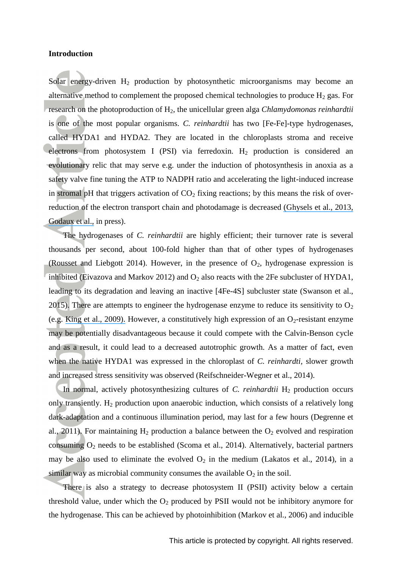### **Introduction**

Solar energy-driven  $H_2$  production by photosynthetic microorganisms may become an alternative method to complement the proposed chemical technologies to produce  $H_2$  gas. For research on the photoproduction of H2, the unicellular green alga *Chlamydomonas reinhardtii* is one of the most popular organisms. *C. reinhardtii* has two [Fe-Fe]-type hydrogenases, called HYDA1 and HYDA2. They are located in the chloroplasts stroma and receive electrons from photosystem I (PSI) via ferredoxin.  $H_2$  production is considered an evolutionary relic that may serve e.g. under the induction of photosynthesis in anoxia as a safety valve fine tuning the ATP to NADPH ratio and accelerating the light-induced increase in stromal pH that triggers activation of  $CO<sub>2</sub>$  fixing reactions; by this means the risk of overreduction of the electron transport chain and photodamage is decreased (Ghysels et al., 2013, Godaux et al., in press).

The hydrogenases of *C. reinhardtii* are highly efficient; their turnover rate is several thousands per second, about 100-fold higher than that of other types of hydrogenases (Rousset and Liebgott 2014). However, in the presence of  $O_2$ , hydrogenase expression is inhibited (Eivazova and Markov 2012) and  $O_2$  also reacts with the 2Fe subcluster of HYDA1, leading to its degradation and leaving an inactive [4Fe-4S] subcluster state (Swanson et al., 2015). There are attempts to engineer the hydrogenase enzyme to reduce its sensitivity to  $O_2$ (e.g. King et al., 2009). However, a constitutively high expression of an  $O<sub>2</sub>$ -resistant enzyme may be potentially disadvantageous because it could compete with the Calvin-Benson cycle and as a result, it could lead to a decreased autotrophic growth. As a matter of fact, even when the native HYDA1 was expressed in the chloroplast of *C. reinhardti,* slower growth and increased stress sensitivity was observed (Reifschneider-Wegner et al., 2014).

In normal, actively photosynthesizing cultures of  $C$ . *reinhardtii*  $H_2$  production occurs only transiently.  $H_2$  production upon anaerobic induction, which consists of a relatively long dark-adaptation and a continuous illumination period, may last for a few hours (Degrenne et al., 2011). For maintaining  $H_2$  production a balance between the  $O_2$  evolved and respiration consuming  $O_2$  needs to be established (Scoma et al., 2014). Alternatively, bacterial partners may be also used to eliminate the evolved  $O_2$  in the medium (Lakatos et al., 2014), in a similar way as microbial community consumes the available  $O_2$  in the soil.

There is also a strategy to decrease photosystem II (PSII) activity below a certain threshold value, under which the  $O_2$  produced by PSII would not be inhibitory anymore for the hydrogenase. This can be achieved by photoinhibition (Markov et al., 2006) and inducible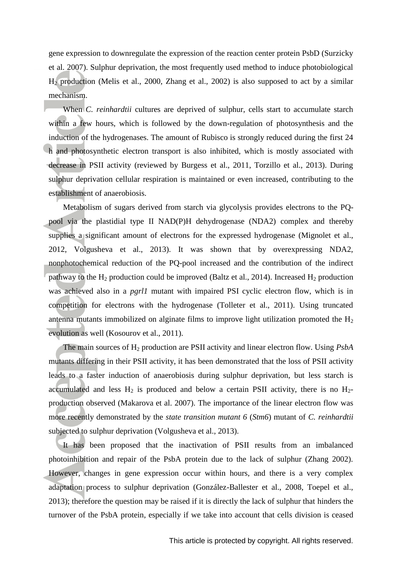gene expression to downregulate the expression of the reaction center protein PsbD (Surzicky et al. 2007). Sulphur deprivation, the most frequently used method to induce photobiological H<sup>2</sup> production (Melis et al., 2000, Zhang et al., 2002) is also supposed to act by a similar mechanism.

When *C. reinhardtii* cultures are deprived of sulphur, cells start to accumulate starch within a few hours, which is followed by the down-regulation of photosynthesis and the induction of the hydrogenases. The amount of Rubisco is strongly reduced during the first 24 h and photosynthetic electron transport is also inhibited, which is mostly associated with decrease in PSII activity (reviewed by Burgess et al., 2011, Torzillo et al., 2013). During sulphur deprivation cellular respiration is maintained or even increased, contributing to the establishment of anaerobiosis.

Metabolism of sugars derived from starch via glycolysis provides electrons to the PQpool via the plastidial type II NAD(P)H dehydrogenase (NDA2) complex and thereby supplies a significant amount of electrons for the expressed hydrogenase (Mignolet et al., 2012, Volgusheva et al., 2013). It was shown that by overexpressing NDA2, nonphotochemical reduction of the PQ-pool increased and the contribution of the indirect pathway to the  $H_2$  production could be improved (Baltz et al., 2014). Increased  $H_2$  production was achieved also in a *pgrl1* mutant with impaired PSI cyclic electron flow, which is in competition for electrons with the hydrogenase (Tolleter et al., 2011). Using truncated antenna mutants immobilized on alginate films to improve light utilization promoted the  $H_2$ evolution as well (Kosourov et al., 2011).

The main sources of H<sub>2</sub> production are PSII activity and linear electron flow. Using *PsbA* mutants differing in their PSII activity, it has been demonstrated that the loss of PSII activity leads to a faster induction of anaerobiosis during sulphur deprivation, but less starch is accumulated and less  $H_2$  is produced and below a certain PSII activity, there is no  $H_2$ production observed (Makarova et al. 2007). The importance of the linear electron flow was more recently demonstrated by the *state transition mutant 6* (*Stm6*) mutant of *C. reinhardtii* subjected to sulphur deprivation (Volgusheva et al., 2013).

It has been proposed that the inactivation of PSII results from an imbalanced photoinhibition and repair of the PsbA protein due to the lack of sulphur (Zhang 2002). However, changes in gene expression occur within hours, and there is a very complex adaptation process to sulphur deprivation (González-Ballester et al., 2008, Toepel et al., 2013); therefore the question may be raised if it is directly the lack of sulphur that hinders the turnover of the PsbA protein, especially if we take into account that cells division is ceased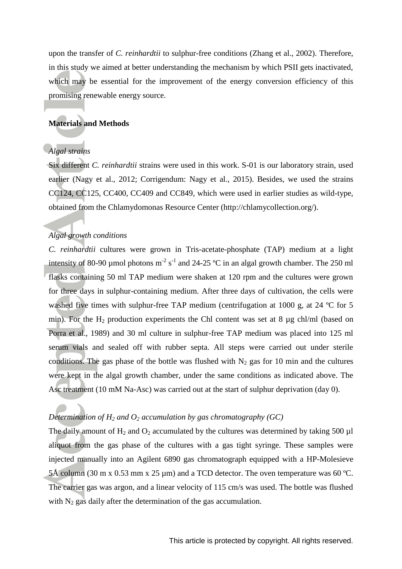upon the transfer of *C. reinhardtii* to sulphur-free conditions (Zhang et al., 2002). Therefore, in this study we aimed at better understanding the mechanism by which PSII gets inactivated, which may be essential for the improvement of the energy conversion efficiency of this promising renewable energy source.

# **Materials and Methods**

# *Algal strains*

Six different *C. reinhardtii* strains were used in this work. S-01 is our laboratory strain, used earlier (Nagy et al., 2012; Corrigendum: Nagy et al., 2015). Besides, we used the strains CC124, CC125, CC400, CC409 and CC849, which were used in earlier studies as wild-type, obtained from the Chlamydomonas Resource Center (http://chlamycollection.org/).

## *Algal growth conditions*

*C. reinhardtii* cultures were grown in Tris-acetate-phosphate (TAP) medium at a light intensity of 80-90 µmol photons  $m^{-2} s^{-1}$  and 24-25 °C in an algal growth chamber. The 250 ml flasks containing 50 ml TAP medium were shaken at 120 rpm and the cultures were grown for three days in sulphur-containing medium. After three days of cultivation, the cells were washed five times with sulphur-free TAP medium (centrifugation at 1000 g, at 24 °C for 5 min). For the  $H_2$  production experiments the Chl content was set at 8 µg chl/ml (based on Porra et al., 1989) and 30 ml culture in sulphur-free TAP medium was placed into 125 ml serum vials and sealed off with rubber septa. All steps were carried out under sterile conditions. The gas phase of the bottle was flushed with  $N_2$  gas for 10 min and the cultures were kept in the algal growth chamber, under the same conditions as indicated above. The Asc treatment (10 mM Na-Asc) was carried out at the start of sulphur deprivation (day 0).

## *Determination of H<sup>2</sup> and O<sup>2</sup> accumulation by gas chromatography (GC)*

The daily amount of  $H_2$  and  $O_2$  accumulated by the cultures was determined by taking 500 µl aliquot from the gas phase of the cultures with a gas tight syringe. These samples were injected manually into an Agilent 6890 gas chromatograph equipped with a HP-Molesieve  $5\text{\AA}$  column (30 m x 0.53 mm x 25 µm) and a TCD detector. The oven temperature was 60 °C. The carrier gas was argon, and a linear velocity of 115 cm/s was used. The bottle was flushed with  $N_2$  gas daily after the determination of the gas accumulation.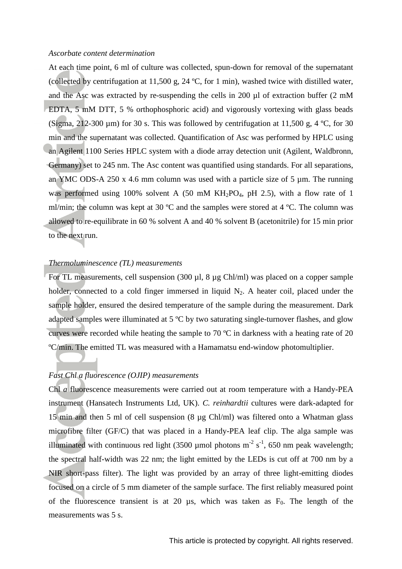### *Ascorbate content determination*

At each time point, 6 ml of culture was collected, spun-down for removal of the supernatant (collected by centrifugation at 11,500 g, 24 ºC, for 1 min), washed twice with distilled water, and the Asc was extracted by re-suspending the cells in 200 µl of extraction buffer (2 mM EDTA, 5 mM DTT, 5 % orthophosphoric acid) and vigorously vortexing with glass beads (Sigma, 212-300 µm) for 30 s. This was followed by centrifugation at 11,500 g, 4  $^{\circ}$ C, for 30 min and the supernatant was collected. Quantification of Asc was performed by HPLC using an Agilent 1100 Series HPLC system with a diode array detection unit (Agilent, Waldbronn, Germany) set to 245 nm. The Asc content was quantified using standards. For all separations, an YMC ODS-A 250 x 4.6 mm column was used with a particle size of 5 µm. The running was performed using 100% solvent A (50 mM  $KH_2PO_4$ , pH 2.5), with a flow rate of 1 ml/min; the column was kept at 30 ºC and the samples were stored at 4 ºC. The column was allowed to re-equilibrate in 60 % solvent A and 40 % solvent B (acetonitrile) for 15 min prior to the next run.

### *Thermoluminescence (TL) measurements*

For TL measurements, cell suspension (300 µl, 8 µg Chl/ml) was placed on a copper sample holder, connected to a cold finger immersed in liquid  $N_2$ . A heater coil, placed under the sample holder, ensured the desired temperature of the sample during the measurement. Dark adapted samples were illuminated at 5 ºC by two saturating single-turnover flashes, and glow curves were recorded while heating the sample to 70 ºC in darkness with a heating rate of 20 ºC/min. The emitted TL was measured with a Hamamatsu end-window photomultiplier.

## *Fast Chl a fluorescence (OJIP) measurements*

Chl *a* fluorescence measurements were carried out at room temperature with a Handy-PEA instrument (Hansatech Instruments Ltd, UK). *C. reinhardtii* cultures were dark-adapted for 15 min and then 5 ml of cell suspension (8 µg Chl/ml) was filtered onto a Whatman glass microfibre filter (GF/C) that was placed in a Handy-PEA leaf clip. The alga sample was illuminated with continuous red light (3500 µmol photons  $m^{-2}$  s<sup>-1</sup>, 650 nm peak wavelength; the spectral half-width was 22 nm; the light emitted by the LEDs is cut off at 700 nm by a NIR short-pass filter). The light was provided by an array of three light-emitting diodes focused on a circle of 5 mm diameter of the sample surface. The first reliably measured point of the fluorescence transient is at 20  $\mu$ s, which was taken as  $F_0$ . The length of the measurements was 5 s.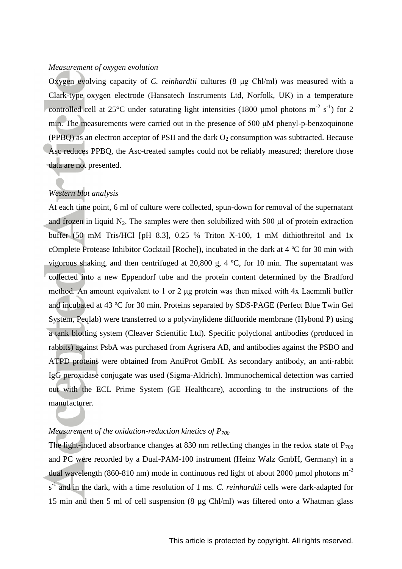### *Measurement of oxygen evolution*

Oxygen evolving capacity of *C. reinhardtii* cultures (8 μg Chl/ml) was measured with a Clark-type oxygen electrode (Hansatech Instruments Ltd, Norfolk, UK) in a temperature controlled cell at 25°C under saturating light intensities (1800 µmol photons  $m^{-2} s^{-1}$ ) for 2 min. The measurements were carried out in the presence of 500 μM phenyl-p-benzoquinone (PPBQ) as an electron acceptor of PSII and the dark  $O_2$  consumption was subtracted. Because Asc reduces PPBQ, the Asc-treated samples could not be reliably measured; therefore those data are not presented.

## *Western blot analysis*

At each time point, 6 ml of culture were collected, spun-down for removal of the supernatant and frozen in liquid  $N_2$ . The samples were then solubilized with 500 μl of protein extraction buffer (50 mM Tris/HCl [pH 8.3], 0.25 % Triton X-100, 1 mM dithiothreitol and 1x cOmplete Protease Inhibitor Cocktail [Roche]), incubated in the dark at 4 ºC for 30 min with vigorous shaking, and then centrifuged at 20,800 g, 4 ºC, for 10 min. The supernatant was collected into a new Eppendorf tube and the protein content determined by the Bradford method. An amount equivalent to 1 or 2 μg protein was then mixed with 4x Laemmli buffer and incubated at 43 ºC for 30 min. Proteins separated by SDS-PAGE (Perfect Blue Twin Gel System, Peqlab) were transferred to a polyvinylidene difluoride membrane (Hybond P) using a tank blotting system (Cleaver Scientific Ltd). Specific polyclonal antibodies (produced in rabbits) against PsbA was purchased from Agrisera AB, and antibodies against the PSBO and ATPD proteins were obtained from AntiProt GmbH. As secondary antibody, an anti-rabbit IgG peroxidase conjugate was used (Sigma-Aldrich). Immunochemical detection was carried out with the ECL Prime System (GE Healthcare), according to the instructions of the manufacturer.

### *Measurement of the oxidation-reduction kinetics of P<sup>700</sup>*

The light-induced absorbance changes at 830 nm reflecting changes in the redox state of  $P_{700}$ and PC were recorded by a Dual-PAM-100 instrument (Heinz Walz GmbH, Germany) in a dual wavelength (860-810 nm) mode in continuous red light of about 2000 µmol photons  $m<sup>-2</sup>$ s<sup>-1</sup> and in the dark, with a time resolution of 1 ms. *C. reinhardtii* cells were dark-adapted for 15 min and then 5 ml of cell suspension (8 µg Chl/ml) was filtered onto a Whatman glass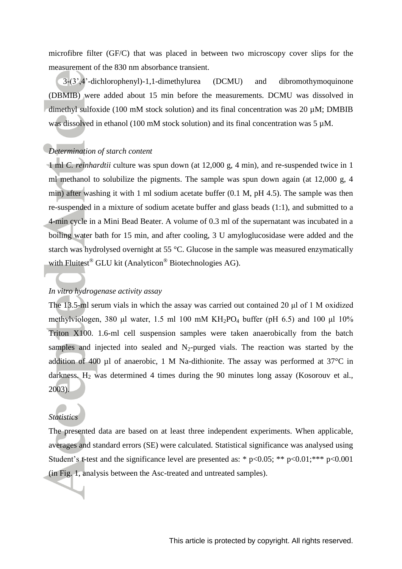microfibre filter (GF/C) that was placed in between two microscopy cover slips for the measurement of the 830 nm absorbance transient.

3-(3',4'-dichlorophenyl)-1,1-dimethylurea (DCMU) and dibromothymoquinone (DBMIB) were added about 15 min before the measurements. DCMU was dissolved in dimethyl sulfoxide (100 mM stock solution) and its final concentration was 20  $\mu$ M; DMBIB was dissolved in ethanol (100 mM stock solution) and its final concentration was 5  $\mu$ M.

## *Determination of starch content*

1 ml *C. reinhardtii* culture was spun down (at 12,000 g, 4 min), and re-suspended twice in 1 ml methanol to solubilize the pigments. The sample was spun down again (at 12,000 g, 4 min) after washing it with 1 ml sodium acetate buffer (0.1 M, pH 4.5). The sample was then re-suspended in a mixture of sodium acetate buffer and glass beads (1:1), and submitted to a 4-min cycle in a Mini Bead Beater. A volume of 0.3 ml of the supernatant was incubated in a boiling water bath for 15 min, and after cooling, 3 U amyloglucosidase were added and the starch was hydrolysed overnight at 55 °C. Glucose in the sample was measured enzymatically with Fluitest<sup>®</sup> GLU kit (Analyticon<sup>®</sup> Biotechnologies AG).

## *In vitro hydrogenase activity assay*

The 13.5-ml serum vials in which the assay was carried out contained 20 μl of 1 M oxidized methylviologen, 380 μl water, 1.5 ml 100 mM KH<sub>2</sub>PO<sub>4</sub> buffer (pH 6.5) and 100 μl 10% Triton X100. 1.6-ml cell suspension samples were taken anaerobically from the batch samples and injected into sealed and  $N_2$ -purged vials. The reaction was started by the addition of 400  $\mu$ l of anaerobic, 1 M Na-dithionite. The assay was performed at 37 $\rm{°C}$  in darkness.  $H<sub>2</sub>$  was determined 4 times during the 90 minutes long assay (Kosorouv et al., 2003).

## *Statistics*

The presented data are based on at least three independent experiments. When applicable, averages and standard errors (SE) were calculated. Statistical significance was analysed using Student's t-test and the significance level are presented as: \*  $p<0.05$ : \*\*  $p<0.01$ : \*\*\*  $p<0.001$ (in Fig. 1, analysis between the Asc-treated and untreated samples).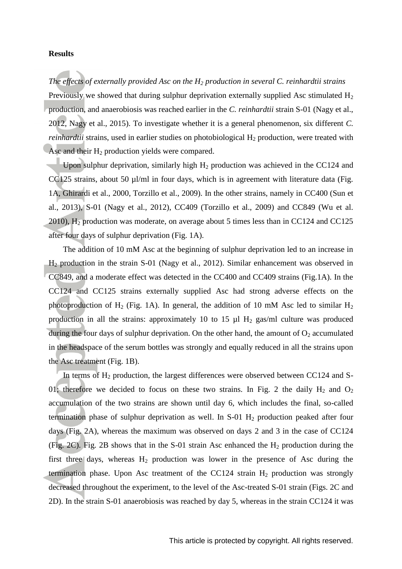### **Results**

*The effects of externally provided Asc on the H<sup>2</sup> production in several C. reinhardtii strains* Previously we showed that during sulphur deprivation externally supplied Asc stimulated H<sub>2</sub> production, and anaerobiosis was reached earlier in the *C. reinhardtii* strain S-01 (Nagy et al., 2012, Nagy et al., 2015). To investigate whether it is a general phenomenon, six different *C. reinhardtii* strains, used in earlier studies on photobiological H<sub>2</sub> production, were treated with Asc and their  $H_2$  production yields were compared.

Upon sulphur deprivation, similarly high  $H_2$  production was achieved in the CC124 and CC125 strains, about 50  $\mu$ l/ml in four days, which is in agreement with literature data (Fig. 1A, Ghirardi et al., 2000, Torzillo et al., 2009). In the other strains, namely in CC400 (Sun et al., 2013), S-01 (Nagy et al., 2012), CC409 (Torzillo et al., 2009) and CC849 (Wu et al. 2010),  $H_2$  production was moderate, on average about 5 times less than in CC124 and CC125 after four days of sulphur deprivation (Fig. 1A).

The addition of 10 mM Asc at the beginning of sulphur deprivation led to an increase in H<sup>2</sup> production in the strain S-01 (Nagy et al., 2012). Similar enhancement was observed in CC849, and a moderate effect was detected in the CC400 and CC409 strains (Fig.1A). In the CC124 and CC125 strains externally supplied Asc had strong adverse effects on the photoproduction of H<sub>2</sub> (Fig. 1A). In general, the addition of 10 mM Asc led to similar H<sub>2</sub> production in all the strains: approximately 10 to 15  $\mu$ l H<sub>2</sub> gas/ml culture was produced during the four days of sulphur deprivation. On the other hand, the amount of  $O_2$  accumulated in the headspace of the serum bottles was strongly and equally reduced in all the strains upon the Asc treatment (Fig. 1B).

In terms of  $H_2$  production, the largest differences were observed between CC124 and S-01; therefore we decided to focus on these two strains. In Fig. 2 the daily  $H_2$  and  $O_2$ accumulation of the two strains are shown until day 6, which includes the final, so-called termination phase of sulphur deprivation as well. In  $S-01$   $H<sub>2</sub>$  production peaked after four days (Fig. 2A), whereas the maximum was observed on days 2 and 3 in the case of CC124 (Fig. 2C). Fig. 2B shows that in the S-01 strain Asc enhanced the  $H_2$  production during the first three days, whereas  $H_2$  production was lower in the presence of Asc during the termination phase. Upon Asc treatment of the CC124 strain  $H_2$  production was strongly decreased throughout the experiment, to the level of the Asc-treated S-01 strain (Figs. 2C and 2D). In the strain S-01 anaerobiosis was reached by day 5, whereas in the strain CC124 it was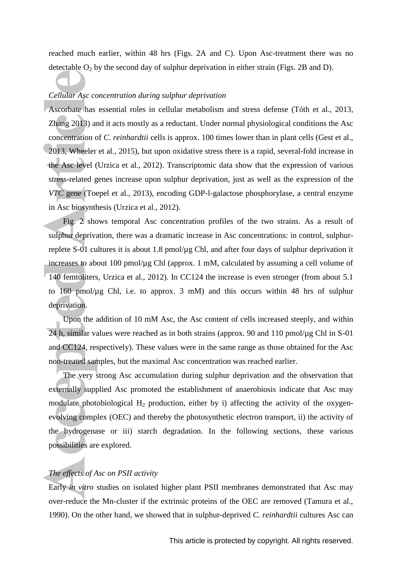reached much earlier, within 48 hrs (Figs. 2A and C). Upon Asc-treatment there was no detectable  $O_2$  by the second day of sulphur deprivation in either strain (Figs. 2B and D).

### *Cellular Asc concentration during sulphur deprivation*

Ascorbate has essential roles in cellular metabolism and stress defense (Tóth et al., 2013, Zhang 2013) and it acts mostly as a reductant. Under normal physiological conditions the Asc concentration of *C. reinhardtii* cells is approx. 100 times lower than in plant cells (Gest et al., 2013, Wheeler et al., 2015), but upon oxidative stress there is a rapid, several-fold increase in the Asc level (Urzica et al., 2012). Transcriptomic data show that the expression of various stress-related genes increase upon sulphur deprivation, just as well as the expression of the *VTC* gene (Toepel et al., 2013), encoding GDP-l-galactose phosphorylase, a central enzyme in Asc biosynthesis (Urzica et al., 2012)*.*

Fig. 2 shows temporal Asc concentration profiles of the two strains. As a result of sulphur deprivation, there was a dramatic increase in Asc concentrations: in control, sulphurreplete S-01 cultures it is about 1.8 pmol/µg Chl, and after four days of sulphur deprivation it increases to about 100 pmol/µg Chl (approx. 1 mM, calculated by assuming a cell volume of 140 femtoliters, Urzica et al., 2012). In CC124 the increase is even stronger (from about 5.1 to 160 pmol/µg Chl, i.e. to approx. 3 mM) and this occurs within 48 hrs of sulphur deprivation.

Upon the addition of 10 mM Asc, the Asc content of cells increased steeply, and within 24 h, similar values were reached as in both strains (approx. 90 and 110 pmol/µg Chl in S-01 and CC124, respectively). These values were in the same range as those obtained for the Asc non-treated samples, but the maximal Asc concentration was reached earlier.

The very strong Asc accumulation during sulphur deprivation and the observation that externally supplied Asc promoted the establishment of anaerobiosis indicate that Asc may modulate photobiological  $H_2$  production, either by i) affecting the activity of the oxygenevolving complex (OEC) and thereby the photosynthetic electron transport, ii) the activity of the hydrogenase or iii) starch degradation. In the following sections, these various possibilities are explored.

### *The effects of Asc on PSII activity*

Early *in vitro* studies on isolated higher plant PSII membranes demonstrated that Asc may over-reduce the Mn-cluster if the extrinsic proteins of the OEC are removed (Tamura et al., 1990). On the other hand, we showed that in sulphur-deprived *C. reinhardtii* cultures Asc can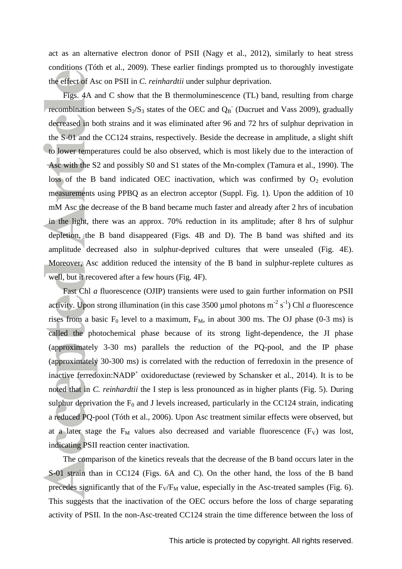act as an alternative electron donor of PSII (Nagy et al., 2012), similarly to heat stress conditions (Tóth et al., 2009). These earlier findings prompted us to thoroughly investigate the effect of Asc on PSII in *C. reinhardtii* under sulphur deprivation.

Figs. 4A and C show that the B thermoluminescence (TL) band, resulting from charge recombination between  $S_2/S_3$  states of the OEC and  $Q_B$ <sup>-</sup> (Ducruet and Vass 2009), gradually decreased in both strains and it was eliminated after 96 and 72 hrs of sulphur deprivation in the S-01 and the CC124 strains, respectively. Beside the decrease in amplitude, a slight shift to lower temperatures could be also observed, which is most likely due to the interaction of Asc with the S2 and possibly S0 and S1 states of the Mn-complex (Tamura et al., 1990). The loss of the B band indicated OEC inactivation, which was confirmed by  $O_2$  evolution measurements using PPBQ as an electron acceptor (Suppl. Fig. 1). Upon the addition of 10 mM Asc the decrease of the B band became much faster and already after 2 hrs of incubation in the light, there was an approx. 70% reduction in its amplitude; after 8 hrs of sulphur depletion, the B band disappeared (Figs. 4B and D). The B band was shifted and its amplitude decreased also in sulphur-deprived cultures that were unsealed (Fig. 4E). Moreover, Asc addition reduced the intensity of the B band in sulphur-replete cultures as well, but it recovered after a few hours (Fig. 4F).

Fast Chl *a* fluorescence (OJIP) transients were used to gain further information on PSII activity. Upon strong illumination (in this case  $3500 \mu$  mol photons m<sup>-2</sup> s<sup>-1</sup>) Chl *a* fluorescence rises from a basic  $F_0$  level to a maximum,  $F_M$ , in about 300 ms. The OJ phase (0-3 ms) is called the photochemical phase because of its strong light-dependence, the JI phase (approximately 3-30 ms) parallels the reduction of the PQ-pool, and the IP phase (approximately 30-300 ms) is correlated with the reduction of ferredoxin in the presence of inactive ferredoxin: NADP<sup>+</sup> oxidoreductase (reviewed by Schansker et al., 2014). It is to be noted that in *C. reinhardtii* the I step is less pronounced as in higher plants (Fig. 5). During sulphur deprivation the  $F_0$  and J levels increased, particularly in the CC124 strain, indicating a reduced PQ-pool (Tóth et al., 2006). Upon Asc treatment similar effects were observed, but at a later stage the  $F_M$  values also decreased and variable fluorescence  $(F_V)$  was lost, indicating PSII reaction center inactivation.

The comparison of the kinetics reveals that the decrease of the B band occurs later in the S-01 strain than in CC124 (Figs. 6A and C). On the other hand, the loss of the B band precedes significantly that of the  $F_V/F_M$  value, especially in the Asc-treated samples (Fig. 6). This suggests that the inactivation of the OEC occurs before the loss of charge separating activity of PSII. In the non-Asc-treated CC124 strain the time difference between the loss of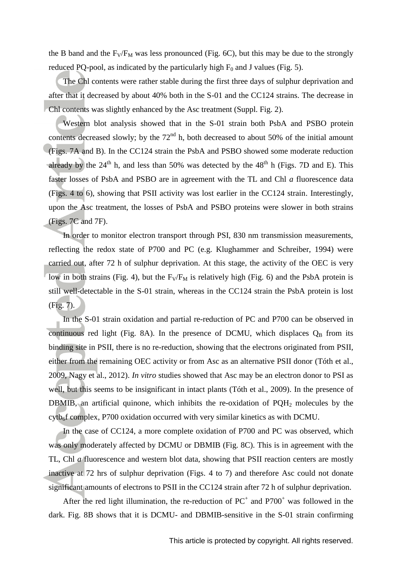the B band and the  $F_V/F_M$  was less pronounced (Fig. 6C), but this may be due to the strongly reduced PQ-pool, as indicated by the particularly high  $F_0$  and J values (Fig. 5).

The Chl contents were rather stable during the first three days of sulphur deprivation and after that it decreased by about 40% both in the S-01 and the CC124 strains. The decrease in Chl contents was slightly enhanced by the Asc treatment (Suppl. Fig. 2).

Western blot analysis showed that in the S-01 strain both PsbA and PSBO protein contents decreased slowly; by the  $72<sup>nd</sup>$  h, both decreased to about 50% of the initial amount (Figs. 7A and B). In the CC124 strain the PsbA and PSBO showed some moderate reduction already by the  $24<sup>th</sup>$  h, and less than 50% was detected by the  $48<sup>th</sup>$  h (Figs. 7D and E). This faster losses of PsbA and PSBO are in agreement with the TL and Chl *a* fluorescence data (Figs. 4 to 6), showing that PSII activity was lost earlier in the CC124 strain. Interestingly, upon the Asc treatment, the losses of PsbA and PSBO proteins were slower in both strains (Figs. 7C and 7F).

In order to monitor electron transport through PSI, 830 nm transmission measurements, reflecting the redox state of P700 and PC (e.g. Klughammer and Schreiber, 1994) were carried out, after 72 h of sulphur deprivation. At this stage, the activity of the OEC is very low in both strains (Fig. 4), but the  $F_V/F_M$  is relatively high (Fig. 6) and the PsbA protein is still well-detectable in the S-01 strain, whereas in the CC124 strain the PsbA protein is lost (Fig. 7).

In the S-01 strain oxidation and partial re-reduction of PC and P700 can be observed in continuous red light (Fig. 8A). In the presence of DCMU, which displaces  $Q_B$  from its binding site in PSII, there is no re-reduction, showing that the electrons originated from PSII, either from the remaining OEC activity or from Asc as an alternative PSII donor (Tóth et al., 2009, Nagy et al., 2012). *In vitro* studies showed that Asc may be an electron donor to PSI as well, but this seems to be insignificant in intact plants (Tóth et al., 2009). In the presence of DBMIB, an artificial quinone, which inhibits the re-oxidation of  $PQH<sub>2</sub>$  molecules by the  $cytb<sub>6</sub>f$  complex, P700 oxidation occurred with very similar kinetics as with DCMU.

In the case of CC124, a more complete oxidation of P700 and PC was observed, which was only moderately affected by DCMU or DBMIB (Fig. 8C). This is in agreement with the TL, Chl *a* fluorescence and western blot data, showing that PSII reaction centers are mostly inactive at 72 hrs of sulphur deprivation (Figs. 4 to 7) and therefore Asc could not donate significant amounts of electrons to PSII in the CC124 strain after 72 h of sulphur deprivation.

After the red light illumination, the re-reduction of  $PC^+$  and  $P700^+$  was followed in the dark. Fig. 8B shows that it is DCMU- and DBMIB-sensitive in the S-01 strain confirming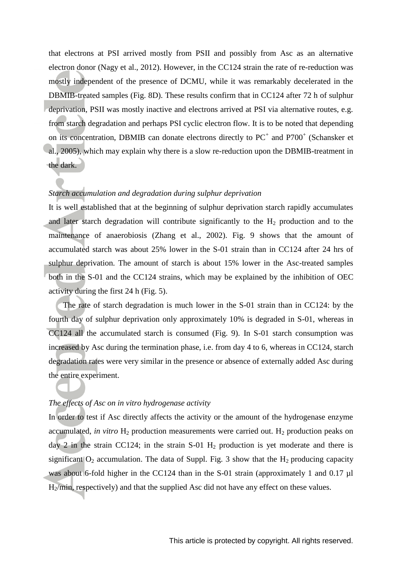that electrons at PSI arrived mostly from PSII and possibly from Asc as an alternative electron donor (Nagy et al., 2012). However, in the CC124 strain the rate of re-reduction was mostly independent of the presence of DCMU, while it was remarkably decelerated in the DBMIB-treated samples (Fig. 8D). These results confirm that in CC124 after 72 h of sulphur deprivation, PSII was mostly inactive and electrons arrived at PSI via alternative routes, e.g. from starch degradation and perhaps PSI cyclic electron flow. It is to be noted that depending on its concentration, DBMIB can donate electrons directly to  $PC^+$  and  $P700^+$  (Schansker et al., 2005), which may explain why there is a slow re-reduction upon the DBMIB-treatment in the dark.

## *Starch accumulation and degradation during sulphur deprivation*

It is well established that at the beginning of sulphur deprivation starch rapidly accumulates and later starch degradation will contribute significantly to the  $H_2$  production and to the maintenance of anaerobiosis (Zhang et al., 2002). Fig. 9 shows that the amount of accumulated starch was about 25% lower in the S-01 strain than in CC124 after 24 hrs of sulphur deprivation. The amount of starch is about 15% lower in the Asc-treated samples both in the S-01 and the CC124 strains, which may be explained by the inhibition of OEC activity during the first 24 h (Fig. 5).

The rate of starch degradation is much lower in the S-01 strain than in CC124: by the fourth day of sulphur deprivation only approximately 10% is degraded in S-01, whereas in CC124 all the accumulated starch is consumed (Fig. 9). In S-01 starch consumption was increased by Asc during the termination phase, i.e. from day 4 to 6, whereas in CC124, starch degradation rates were very similar in the presence or absence of externally added Asc during the entire experiment.

### *The effects of Asc on in vitro hydrogenase activity*

In order to test if Asc directly affects the activity or the amount of the hydrogenase enzyme accumulated, *in vitro* H<sub>2</sub> production measurements were carried out. H<sub>2</sub> production peaks on day 2 in the strain CC124; in the strain  $S-01$  H<sub>2</sub> production is yet moderate and there is significant  $O_2$  accumulation. The data of Suppl. Fig. 3 show that the  $H_2$  producing capacity was about 6-fold higher in the CC124 than in the S-01 strain (approximately 1 and 0.17 µl H2/min, respectively) and that the supplied Asc did not have any effect on these values.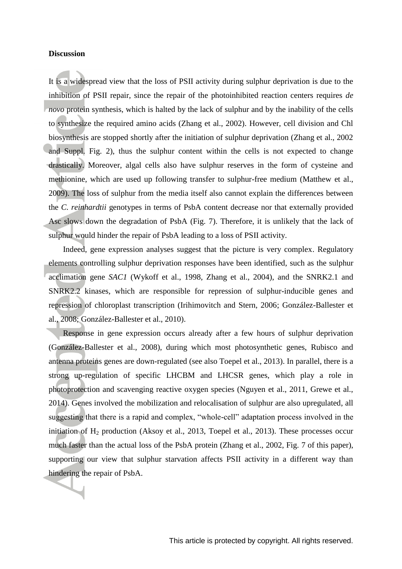### **Discussion**

It is a widespread view that the loss of PSII activity during sulphur deprivation is due to the inhibition of PSII repair, since the repair of the photoinhibited reaction centers requires *de novo* protein synthesis, which is halted by the lack of sulphur and by the inability of the cells to synthesize the required amino acids (Zhang et al., 2002). However, cell division and Chl biosynthesis are stopped shortly after the initiation of sulphur deprivation (Zhang et al., 2002 and Suppl. Fig. 2), thus the sulphur content within the cells is not expected to change drastically. Moreover, algal cells also have sulphur reserves in the form of cysteine and methionine, which are used up following transfer to sulphur-free medium (Matthew et al., 2009). The loss of sulphur from the media itself also cannot explain the differences between the *C. reinhardtii* genotypes in terms of PsbA content decrease nor that externally provided Asc slows down the degradation of PsbA (Fig. 7). Therefore, it is unlikely that the lack of sulphur would hinder the repair of PsbA leading to a loss of PSII activity.

Indeed, gene expression analyses suggest that the picture is very complex. Regulatory elements controlling sulphur deprivation responses have been identified, such as the sulphur acclimation gene *SAC1* (Wykoff et al., 1998, Zhang et al., 2004), and the SNRK2.1 and SNRK2.2 kinases, which are responsible for repression of sulphur-inducible genes and repression of chloroplast transcription (Irihimovitch and Stern, 2006; González-Ballester et al., 2008; González-Ballester et al., 2010).

Response in gene expression occurs already after a few hours of sulphur deprivation (González-Ballester et al., 2008), during which most photosynthetic genes, Rubisco and antenna proteins genes are down-regulated (see also Toepel et al., 2013). In parallel, there is a strong up-regulation of specific LHCBM and LHCSR genes, which play a role in photoprotection and scavenging reactive oxygen species (Nguyen et al., 2011, Grewe et al., 2014). Genes involved the mobilization and relocalisation of sulphur are also upregulated, all suggesting that there is a rapid and complex, "whole-cell" adaptation process involved in the initiation of  $H_2$  production (Aksoy et al., 2013, Toepel et al., 2013). These processes occur much faster than the actual loss of the PsbA protein (Zhang et al., 2002, Fig. 7 of this paper), supporting our view that sulphur starvation affects PSII activity in a different way than hindering the repair of PsbA.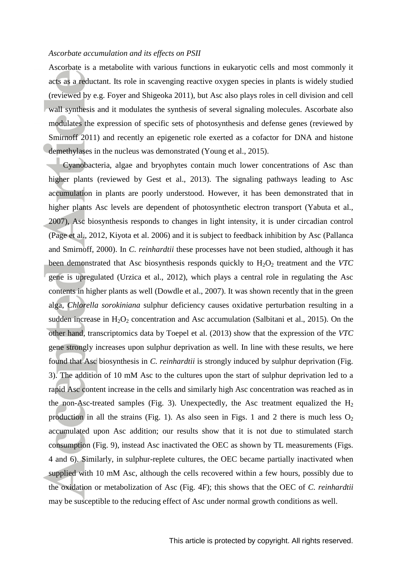#### *Ascorbate accumulation and its effects on PSII*

Ascorbate is a metabolite with various functions in eukaryotic cells and most commonly it acts as a reductant. Its role in scavenging reactive oxygen species in plants is widely studied (reviewed by e.g. Foyer and Shigeoka 2011), but Asc also plays roles in cell division and cell wall synthesis and it modulates the synthesis of several signaling molecules. Ascorbate also modulates the expression of specific sets of photosynthesis and defense genes (reviewed by Smirnoff 2011) and recently an epigenetic role exerted as a cofactor for DNA and histone demethylases in the nucleus was demonstrated (Young et al., 2015).

Cyanobacteria, algae and bryophytes contain much lower concentrations of Asc than higher plants (reviewed by Gest et al., 2013). The signaling pathways leading to Asc accumulation in plants are poorly understood. However, it has been demonstrated that in higher plants Asc levels are dependent of photosynthetic electron transport (Yabuta et al., 2007), Asc biosynthesis responds to changes in light intensity, it is under circadian control (Page et al., 2012, Kiyota et al. 2006) and it is subject to feedback inhibition by Asc (Pallanca and Smirnoff, 2000). In *C. reinhardtii* these processes have not been studied, although it has been demonstrated that Asc biosynthesis responds quickly to  $H_2O_2$  treatment and the *VTC* gene is upregulated (Urzica et al., 2012), which plays a central role in regulating the Asc contents in higher plants as well (Dowdle et al., 2007). It was shown recently that in the green alga, *Chlorella sorokiniana* sulphur deficiency causes oxidative perturbation resulting in a sudden increase in  $H_2O_2$  concentration and Asc accumulation (Salbitani et al., 2015). On the other hand, transcriptomics data by Toepel et al. (2013) show that the expression of the *VTC* gene strongly increases upon sulphur deprivation as well. In line with these results, we here found that Asc biosynthesis in *C. reinhardtii* is strongly induced by sulphur deprivation (Fig. 3). The addition of 10 mM Asc to the cultures upon the start of sulphur deprivation led to a rapid Asc content increase in the cells and similarly high Asc concentration was reached as in the non-Asc-treated samples (Fig. 3). Unexpectedly, the Asc treatment equalized the  $H_2$ production in all the strains (Fig. 1). As also seen in Figs. 1 and 2 there is much less  $O_2$ accumulated upon Asc addition; our results show that it is not due to stimulated starch consumption (Fig. 9), instead Asc inactivated the OEC as shown by TL measurements (Figs. 4 and 6). Similarly, in sulphur-replete cultures, the OEC became partially inactivated when supplied with 10 mM Asc, although the cells recovered within a few hours, possibly due to the oxidation or metabolization of Asc (Fig. 4F); this shows that the OEC of *C. reinhardtii* may be susceptible to the reducing effect of Asc under normal growth conditions as well.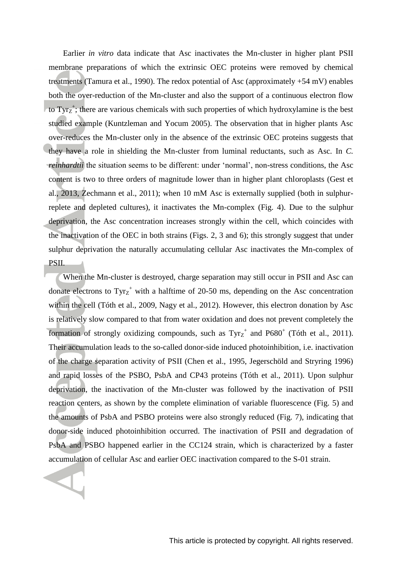Earlier *in vitro* data indicate that Asc inactivates the Mn-cluster in higher plant PSII membrane preparations of which the extrinsic OEC proteins were removed by chemical treatments (Tamura et al., 1990). The redox potential of Asc (approximately +54 mV) enables both the over-reduction of the Mn-cluster and also the support of a continuous electron flow to  $Tyr_{Z}^{-1}$ ; there are various chemicals with such properties of which hydroxylamine is the best studied example (Kuntzleman and Yocum 2005). The observation that in higher plants Asc over-reduces the Mn-cluster only in the absence of the extrinsic OEC proteins suggests that they have a role in shielding the Mn-cluster from luminal reductants, such as Asc. In *C. reinhardtii* the situation seems to be different: under 'normal', non-stress conditions, the Asc content is two to three orders of magnitude lower than in higher plant chloroplasts (Gest et al., 2013, Zechmann et al., 2011); when 10 mM Asc is externally supplied (both in sulphurreplete and depleted cultures), it inactivates the Mn-complex (Fig. 4). Due to the sulphur deprivation, the Asc concentration increases strongly within the cell, which coincides with the inactivation of the OEC in both strains (Figs. 2, 3 and 6); this strongly suggest that under sulphur deprivation the naturally accumulating cellular Asc inactivates the Mn-complex of PSII.

When the Mn-cluster is destroyed, charge separation may still occur in PSII and Asc can donate electrons to  $Tyr<sub>Z</sub><sup>+</sup>$  with a halftime of 20-50 ms, depending on the Asc concentration within the cell (Tóth et al., 2009, Nagy et al., 2012). However, this electron donation by Asc is relatively slow compared to that from water oxidation and does not prevent completely the formation of strongly oxidizing compounds, such as  $Tyr_Z^+$  and P680<sup>+</sup> (Tóth et al., 2011). Their accumulation leads to the so-called donor-side induced photoinhibition, i.e. inactivation of the charge separation activity of PSII (Chen et al., 1995, Jegerschöld and Stryring 1996) and rapid losses of the PSBO, PsbA and CP43 proteins (Tóth et al., 2011). Upon sulphur deprivation, the inactivation of the Mn-cluster was followed by the inactivation of PSII reaction centers, as shown by the complete elimination of variable fluorescence (Fig. 5) and the amounts of PsbA and PSBO proteins were also strongly reduced (Fig. 7), indicating that donor-side induced photoinhibition occurred. The inactivation of PSII and degradation of PsbA and PSBO happened earlier in the CC124 strain, which is characterized by a faster accumulation of cellular Asc and earlier OEC inactivation compared to the S-01 strain.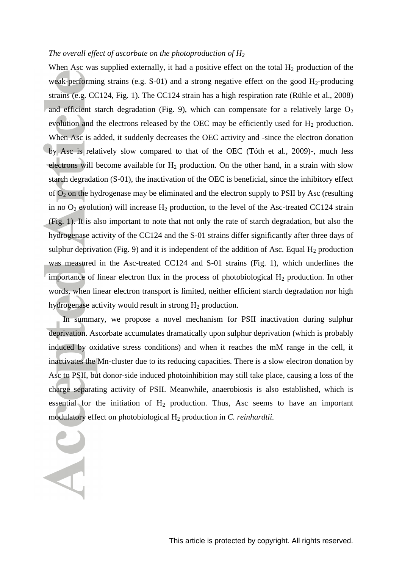### *The overall effect of ascorbate on the photoproduction of H<sup>2</sup>*

When Asc was supplied externally, it had a positive effect on the total  $H_2$  production of the weak-performing strains (e.g.  $S-01$ ) and a strong negative effect on the good  $H_2$ -producing strains (e.g. CC124, Fig. 1). The CC124 strain has a high respiration rate (Rühle et al., 2008) and efficient starch degradation (Fig. 9), which can compensate for a relatively large  $O_2$ evolution and the electrons released by the OEC may be efficiently used for  $H_2$  production. When Asc is added, it suddenly decreases the OEC activity and -since the electron donation by Asc is relatively slow compared to that of the OEC (Tóth et al., 2009)-, much less electrons will become available for  $H_2$  production. On the other hand, in a strain with slow starch degradation (S-01), the inactivation of the OEC is beneficial, since the inhibitory effect of  $O_2$  on the hydrogenase may be eliminated and the electron supply to PSII by Asc (resulting in no  $O_2$  evolution) will increase  $H_2$  production, to the level of the Asc-treated CC124 strain (Fig. 1). It is also important to note that not only the rate of starch degradation, but also the hydrogenase activity of the CC124 and the S-01 strains differ significantly after three days of sulphur deprivation (Fig. 9) and it is independent of the addition of Asc. Equal  $H_2$  production was measured in the Asc-treated CC124 and S-01 strains (Fig. 1), which underlines the importance of linear electron flux in the process of photobiological  $H_2$  production. In other words, when linear electron transport is limited, neither efficient starch degradation nor high hydrogenase activity would result in strong  $H_2$  production.

In summary, we propose a novel mechanism for PSII inactivation during sulphur deprivation. Ascorbate accumulates dramatically upon sulphur deprivation (which is probably induced by oxidative stress conditions) and when it reaches the mM range in the cell, it inactivates the Mn-cluster due to its reducing capacities. There is a slow electron donation by Asc to PSII, but donor-side induced photoinhibition may still take place, causing a loss of the charge separating activity of PSII. Meanwhile, anaerobiosis is also established, which is essential for the initiation of  $H_2$  production. Thus, Asc seems to have an important modulatory effect on photobiological H<sup>2</sup> production in *C. reinhardtii.*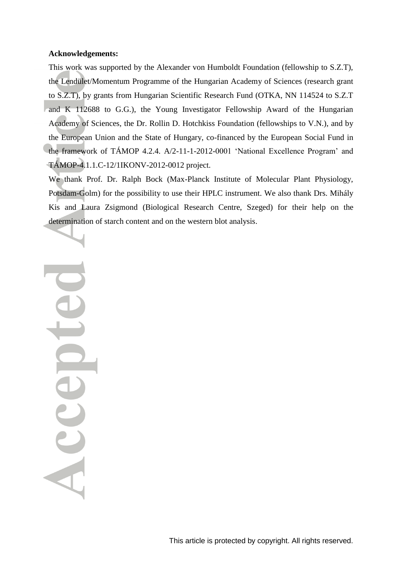## **Acknowledgements:**

This work was supported by the Alexander von Humboldt Foundation (fellowship to S.Z.T), the Lendület/Momentum Programme of the Hungarian Academy of Sciences (research grant to S.Z.T), by grants from Hungarian Scientific Research Fund (OTKA, NN 114524 to S.Z.T and K 112688 to G.G.), the Young Investigator Fellowship Award of the Hungarian Academy of Sciences, the Dr. Rollin D. Hotchkiss Foundation (fellowships to V.N.), and by the European Union and the State of Hungary, co-financed by the European Social Fund in the framework of TÁMOP 4.2.4. A/2-11-1-2012-0001 'National Excellence Program' and TÁMOP-4.1.1.C-12/1IKONV-2012-0012 project.

We thank Prof. Dr. Ralph Bock (Max-Planck Institute of Molecular Plant Physiology, Potsdam-Golm) for the possibility to use their HPLC instrument. We also thank Drs. Mihály Kis and Laura Zsigmond (Biological Research Centre, Szeged) for their help on the determination of starch content and on the western blot analysis.

Sccep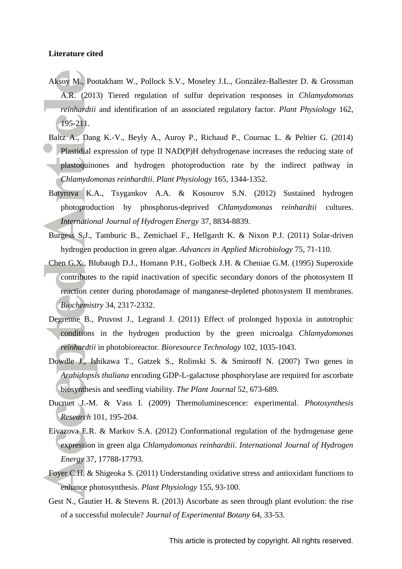### **Literature cited**

- Aksoy M., Pootakham W., Pollock S.V., Moseley J.L., González-Ballester D. & Grossman A.R. (2013) Tiered regulation of sulfur deprivation responses in *Chlamydomonas reinhardtii* and identification of an associated regulatory factor. *Plant Physiology* 162, 195-211.
- Baltz A., Dang K.-V., Beyly A., Auroy P., Richaud P., Cournac L. & Peltier G. (2014) Plastidial expression of type II NAD(P)H dehydrogenase increases the reducing state of plastoquinones and hydrogen photoproduction rate by the indirect pathway in *Chlamydomonas reinhardtii*. *Plant Physiology* 165, 1344-1352.
- Batyrova K.A., Tsygankov A.A. & Kosourov S.N. (2012) Sustained hydrogen photoproduction by phosphorus-deprived *Chlamydomonas reinhardtii* cultures. *International Journal of Hydrogen Energy* 37, 8834-8839.
- Burgess S.J., Tamburic B., Zemichael F., Hellgardt K. & Nixon P.J. (2011) Solar-driven hydrogen production in green algae. *Advances in Applied Microbiology* 75, 71-110.
- Chen G.X., Blubaugh D.J., Homann P.H., Golbeck J.H. & Cheniae G.M. (1995) Superoxide contributes to the rapid inactivation of specific secondary donors of the photosystem II reaction center during photodamage of manganese-depleted photosystem II membranes. *Biochemistry* 34, 2317-2332.
- Degrenne B., Pruvost J., Legrand J. (2011) Effect of prolonged hypoxia in autotrophic conditions in the hydrogen production by the green microalga *Chlamydomonas reinhardtii* in photobioreactor. *Bioresource Technology* 102, 1035-1043.
- Dowdle J., Ishikawa T., Gatzek S., Rolinski S. & Smirnoff N. (2007) Two genes in *Arabidopsis thaliana* encoding GDP-L-galactose phosphorylase are required for ascorbate biosynthesis and seedling viability. *The Plant Journal* 52, 673-689.
- Ducruet J.-M. & Vass I. (2009) Thermoluminescence: experimental. *Photosynthesis Research* 101, 195-204.
- Eivazova E.R. & Markov S.A. (2012) Conformational regulation of the hydrogenase gene expression in green alga *Chlamydomonas reinhardtii*. *International Journal of Hydrogen Energy* 37, 17788-17793.
- Foyer C.H. & Shigeoka S. (2011) Understanding oxidative stress and antioxidant functions to enhance photosynthesis. *Plant Physiology* 155, 93-100.
- Gest N., Gautier H. & Stevens R. (2013) Ascorbate as seen through plant evolution: the rise of a successful molecule? *Journal of Experimental Botany* 64, 33-53.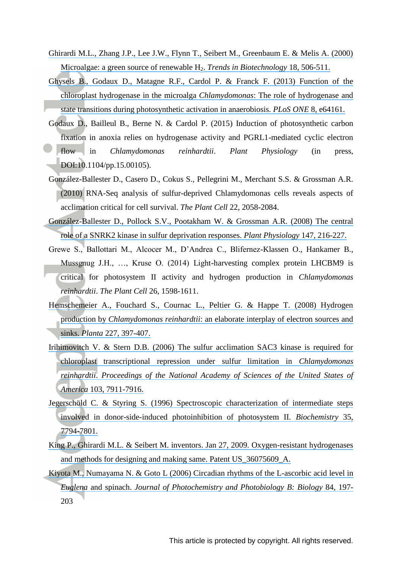- Ghirardi M.L., Zhang J.P., Lee J.W., Flynn T., Seibert M., Greenbaum E. & Melis A. (2000) Microalgae: a green source of renewable H<sub>2</sub>. *Trends in Biotechnology* 18, 506-511.
- Ghysels B., Godaux D., Matagne R.F., Cardol P. & Franck F. (2013) Function of the chloroplast hydrogenase in the microalga *Chlamydomonas*: The role of hydrogenase and state transitions during photosynthetic activation in anaerobiosis. *PLoS ONE* 8, e64161.
- Godaux D., Bailleul B., Berne N. & Cardol P. (2015) Induction of photosynthetic carbon fixation in anoxia relies on hydrogenase activity and PGRL1-mediated cyclic electron flow in *Chlamydomonas reinhardtii*. *Plant Physiology* (in press, DOI:10.1104/pp.15.00105).
- González-Ballester D., Casero D., Cokus S., Pellegrini M., Merchant S.S. & Grossman A.R. (2010) RNA-Seq analysis of sulfur-deprived Chlamydomonas cells reveals aspects of acclimation critical for cell survival. *The Plant Cell* 22, 2058-2084.
- González-Ballester D., Pollock S.V., Pootakham W. & Grossman A.R. (2008) The central role of a SNRK2 kinase in sulfur deprivation responses. *Plant Physiology* 147, 216-227.
- Grewe S., Ballottari M., Alcocer M., D'Andrea C., Blifernez-Klassen O., Hankamer B., Mussgnug J.H., …, Kruse O. (2014) Light-harvesting complex protein LHCBM9 is critical for photosystem II activity and hydrogen production in *Chlamydomonas reinhardtii*. *The Plant Cell* 26, 1598-1611.
- Hemschemeier A., Fouchard S., Cournac L., Peltier G. & Happe T. (2008) Hydrogen production by *Chlamydomonas reinhardtii*: an elaborate interplay of electron sources and sinks. *Planta* 227, 397-407.
- Irihimovitch V. & Stern D.B. (2006) The sulfur acclimation SAC3 kinase is required for chloroplast transcriptional repression under sulfur limitation in *Chlamydomonas reinhardtii*. *Proceedings of the National Academy of Sciences of the United States of America* 103, 7911-7916.
- Jegerschöld C. & Styring S. (1996) Spectroscopic characterization of intermediate steps involved in donor-side-induced photoinhibition of photosystem II. *Biochemistry* 35, 7794-7801.
- King P., Ghirardi M.L. & Seibert M. inventors. Jan 27, 2009. Oxygen-resistant hydrogenases and methods for designing and making same. Patent US\_36075609\_A.
- Kiyota M., Numayama N. & Goto L (2006) Circadian rhythms of the L-ascorbic acid level in *Euglena* and spinach. *Journal of Photochemistry and Photobiology B: Biology* 84, 197- 203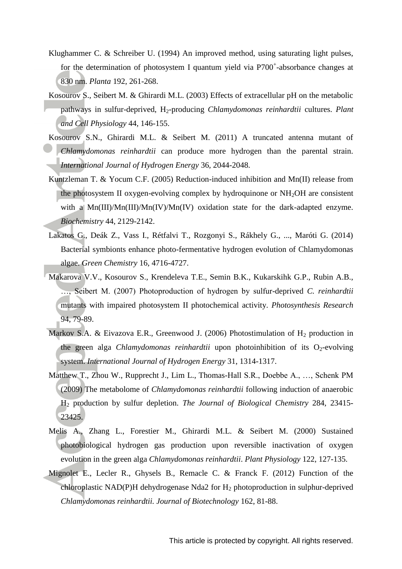- Klughammer C. & Schreiber U. (1994) An improved method, using saturating light pulses, for the determination of photosystem I quantum yield via P700<sup>+</sup>-absorbance changes at 830 nm. *Planta* 192, 261-268.
- Kosourov S., Seibert M. & Ghirardi M.L. (2003) Effects of extracellular pH on the metabolic pathways in sulfur-deprived, H<sub>2</sub>-producing *Chlamydomonas reinhardtii* cultures. *Plant and Cell Physiology* 44, 146-155.
- Kosourov S.N., Ghirardi M.L. & Seibert M. (2011) A truncated antenna mutant of *Chlamydomonas reinhardtii* can produce more hydrogen than the parental strain. *International Journal of Hydrogen Energy* 36, 2044-2048.
- Kuntzleman T. & Yocum C.F. (2005) Reduction-induced inhibition and Mn(II) release from the photosystem II oxygen-evolving complex by hydroquinone or  $NH<sub>2</sub>OH$  are consistent with a  $Mn(III)/Mn(III)/Mn(IV)/Mn(IV)$  oxidation state for the dark-adapted enzyme. *Biochemistry* 44, 2129-2142.
- Lakatos G., Deák Z., Vass I., Rétfalvi T., Rozgonyi S., Rákhely G., ..., Maróti G. (2014) Bacterial symbionts enhance photo-fermentative hydrogen evolution of Chlamydomonas algae. *Green Chemistry* 16, 4716-4727.
- Makarova V.V., Kosourov S., Krendeleva T.E., Semin B.K., Kukarskihk G.P., Rubin A.B., …, Seibert M. (2007) Photoproduction of hydrogen by sulfur-deprived *C. reinhardtii* mutants with impaired photosystem II photochemical activity. *Photosynthesis Research* 94, 79-89.
- Markov S.A. & Eivazova E.R., Greenwood J. (2006) Photostimulation of  $H_2$  production in the green alga *Chlamydomonas reinhardtii* upon photoinhibition of its  $O_2$ -evolving system. *International Journal of Hydrogen Energy* 31, 1314-1317.
- Matthew T., Zhou W., Rupprecht J., Lim L., Thomas-Hall S.R., Doebbe A., …, Schenk PM (2009) The metabolome of *Chlamydomonas reinhardtii* following induction of anaerobic H<sup>2</sup> production by sulfur depletion. *The Journal of Biological Chemistry* 284, 23415- 23425.
- Melis A., Zhang L., Forestier M., Ghirardi M.L. & Seibert M. (2000) Sustained photobiological hydrogen gas production upon reversible inactivation of oxygen evolution in the green alga *Chlamydomonas reinhardtii*. *Plant Physiology* 122, 127-135.
- Mignolet E., Lecler R., Ghysels B., Remacle C. & Franck F. (2012) Function of the chloroplastic NAD(P)H dehydrogenase Nda2 for  $H_2$  photoproduction in sulphur-deprived *Chlamydomonas reinhardtii. Journal of Biotechnology* 162, 81-88.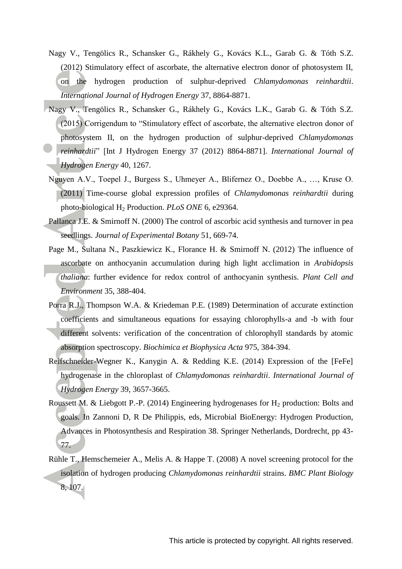- Nagy V., Tengölics R., Schansker G., Rákhely G., Kovács K.L., Garab G. & Tóth S.Z. (2012) Stimulatory effect of ascorbate, the alternative electron donor of photosystem II, on the hydrogen production of sulphur-deprived *Chlamydomonas reinhardtii*. *International Journal of Hydrogen Energy* 37, 8864-8871.
- Nagy V., Tengölics R., Schansker G., Rákhely G., Kovács L.K., Garab G. & Tóth S.Z. (2015) Corrigendum to "Stimulatory effect of ascorbate, the alternative electron donor of photosystem II, on the hydrogen production of sulphur-deprived *Chlamydomonas reinhardtii*" [Int J Hydrogen Energy 37 (2012) 8864-8871]. *International Journal of Hydrogen Energy* 40, 1267.
- Nguyen A.V., Toepel J., Burgess S., Uhmeyer A., Blifernez O., Doebbe A., …, Kruse O. (2011) Time-course global expression profiles of *Chlamydomonas reinhardtii* during photo-biological H<sup>2</sup> Production. *PLoS ONE* 6, e29364.
- Pallanca J.E. & Smirnoff N. (2000) The control of ascorbic acid synthesis and turnover in pea seedlings. *Journal of Experimental Botany* 51, 669-74.
- Page M., Sultana N., Paszkiewicz K., Florance H. & Smirnoff N. (2012) The influence of ascorbate on anthocyanin accumulation during high light acclimation in *Arabidopsis thaliana*: further evidence for redox control of anthocyanin synthesis. *Plant Cell and Environment* 35, 388-404.
- Porra R.J., Thompson W.A. & Kriedeman P.E. (1989) Determination of accurate extinction coefficients and simultaneous equations for essaying chlorophylls-a and -b with four different solvents: verification of the concentration of chlorophyll standards by atomic absorption spectroscopy. *Biochimica et Biophysica Acta* 975, 384-394.
- Reifschneider-Wegner K., Kanygin A. & Redding K.E. (2014) Expression of the [FeFe] hydrogenase in the chloroplast of *Chlamydomonas reinhardtii*. *International Journal of Hydrogen Energy* 39, 3657-3665.
- Roussett M. & Liebgott P.-P. (2014) Engineering hydrogenases for  $H_2$  production: Bolts and goals. In Zannoni D, R De Philippis, eds, Microbial BioEnergy: Hydrogen Production, Advances in Photosynthesis and Respiration 38. Springer Netherlands, Dordrecht, pp 43- 77.
- Rühle T., Hemschemeier A., Melis A. & Happe T. (2008) A novel screening protocol for the isolation of hydrogen producing *Chlamydomonas reinhardtii* strains. *BMC Plant Biology* 8, 107.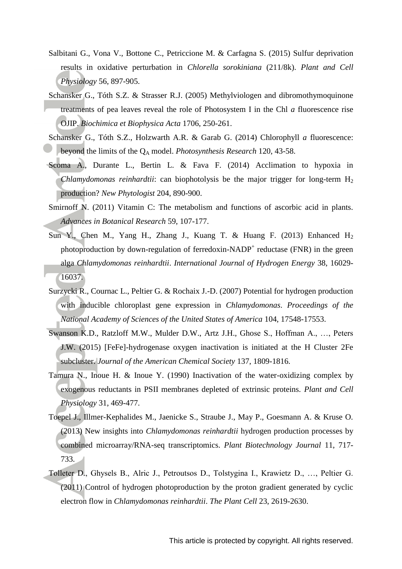- Salbitani G., Vona V., Bottone C., Petriccione M. & Carfagna S. (2015) Sulfur deprivation results in oxidative perturbation in *Chlorella sorokiniana* (211/8k). *Plant and Cell Physiology* 56, 897-905.
- Schansker G., Tóth S.Z. & Strasser R.J. (2005) Methylviologen and dibromothymoquinone treatments of pea leaves reveal the role of Photosystem I in the Chl *a* fluorescence rise OJIP. *Biochimica et Biophysica Acta* 1706, 250-261.
- Schansker G., Tóth S.Z., Holzwarth A.R. & Garab G. (2014) Chlorophyll *a* fluorescence: beyond the limits of the Q<sup>A</sup> model. *Photosynthesis Research* 120, 43-58.
- Scoma A., Durante L., Bertin L. & Fava F. (2014) Acclimation to hypoxia in *Chlamydomonas reinhardtii*: can biophotolysis be the major trigger for long-term  $H_2$ production? *New Phytologist* 204, 890-900.
- Smirnoff N. (2011) Vitamin C: The metabolism and functions of ascorbic acid in plants. *Advances in Botanical Research* 59, 107-177.
- Sun Y., Chen M., Yang H., Zhang J., Kuang T. & Huang F. (2013) Enhanced H<sub>2</sub> photoproduction by down-regulation of ferredoxin-NADP<sup>+</sup> reductase (FNR) in the green alga *Chlamydomonas reinhardtii*. *International Journal of Hydrogen Energy* 38, 16029- 16037.
- Surzycki R., Cournac L., Peltier G. & Rochaix J.-D. (2007) Potential for hydrogen production with inducible chloroplast gene expression in *Chlamydomonas*. *Proceedings of the National Academy of Sciences of the United States of America* 104, 17548-17553.
- Swanson K.D., Ratzloff M.W., Mulder D.W., Artz J.H., Ghose S., Hoffman A., …, Peters J.W. (2015) [FeFe]-hydrogenase oxygen inactivation is initiated at the H Cluster 2Fe subcluster. *Journal of the American Chemical Society* 137, 1809-1816.
- Tamura N., Inoue H. & Inoue Y. (1990) Inactivation of the water-oxidizing complex by exogenous reductants in PSII membranes depleted of extrinsic proteins. *Plant and Cell Physiology* 31, 469-477.
- Toepel J., Illmer-Kephalides M., Jaenicke S., Straube J., May P., Goesmann A. & Kruse O. (2013) New insights into *Chlamydomonas reinhardtii* hydrogen production processes by combined microarray/RNA-seq transcriptomics. *Plant Biotechnology Journal* 11, 717- 733.
- Tolleter D., Ghysels B., Alric J., Petroutsos D., Tolstygina I., Krawietz D., …, Peltier G. (2011) Control of hydrogen photoproduction by the proton gradient generated by cyclic electron flow in *Chlamydomonas reinhardtii*. *The Plant Cell* 23, 2619-2630.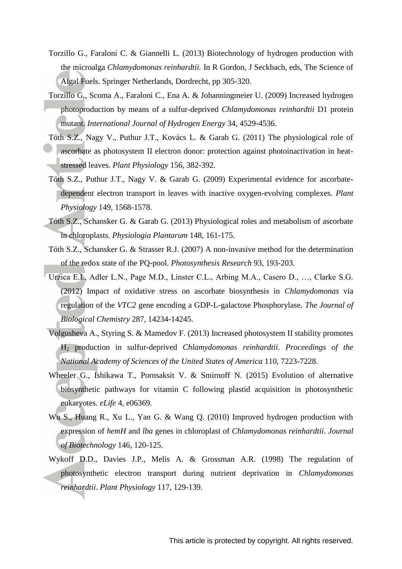- Torzillo G., Faraloni C. & Giannelli L. (2013) Biotechnology of hydrogen production with the microalga *Chlamydomonas reinhardtii.* In R Gordon, J Seckbach, eds, The Science of Algal Fuels. Springer Netherlands, Dordrecht, pp 305-320.
- Torzillo G., Scoma A., Faraloni C., Ena A. & Johanningmeier U. (2009) Increased hydrogen photoproduction by means of a sulfur-deprived *Chlamydomonas reinhardtii* D1 protein mutant. *International Journal of Hydrogen Energy* 34, 4529-4536.
- Tóth S.Z., Nagy V., Puthur J.T., Kovács L. & Garab G. (2011) The physiological role of ascorbate as photosystem II electron donor: protection against photoinactivation in heatstressed leaves. *Plant Physiology* 156, 382-392.
- Tóth S.Z., Puthur J.T., Nagy V. & Garab G. (2009) Experimental evidence for ascorbatedependent electron transport in leaves with inactive oxygen-evolving complexes. *Plant Physiology* 149, 1568-1578.
- Tóth S.Z., Schansker G. & Garab G. (2013) Physiological roles and metabolism of ascorbate in chloroplasts. *Physiologia Plantarum* 148, 161-175.
- Tóth S.Z., Schansker G. & Strasser R.J. (2007) A non-invasive method for the determination of the redox state of the PQ-pool. *Photosynthesis Research* 93, 193-203.
- Urzica E.I., Adler L.N., Page M.D., Linster C.L., Arbing M.A., Casero D., …, Clarke S.G. (2012) Impact of oxidative stress on ascorbate biosynthesis in *Chlamydomonas* via regulation of the *VTC2* gene encoding a GDP-L-galactose Phosphorylase. *The Journal of Biological Chemistry* 287, 14234-14245.
- Volgusheva A., Styring S. & Mamedov F. (2013) Increased photosystem II stability promotes H<sup>2</sup> production in sulfur-deprived *Chlamydomonas reinhardtii*. *Proceedings of the National Academy of Sciences of the United States of America* 110, 7223-7228.
- Wheeler G., Ishikawa T., Pornsaksit V. & Smirnoff N. (2015) Evolution of alternative biosynthetic pathways for vitamin C following plastid acquisition in photosynthetic eukaryotes. *eLife* 4, e06369.
- Wu S., Huang R., Xu L., Yan G. & Wang Q. (2010) Improved hydrogen production with expression of *hemH* and *lba* genes in chloroplast of *Chlamydomonas reinhardtii*. *Journal of Biotechnology* 146, 120-125.
- Wykoff D.D., Davies J.P., Melis A. & Grossman A.R. (1998) The regulation of photosynthetic electron transport during nutrient deprivation in *Chlamydomonas reinhardtii*. *Plant Physiology* 117, 129-139.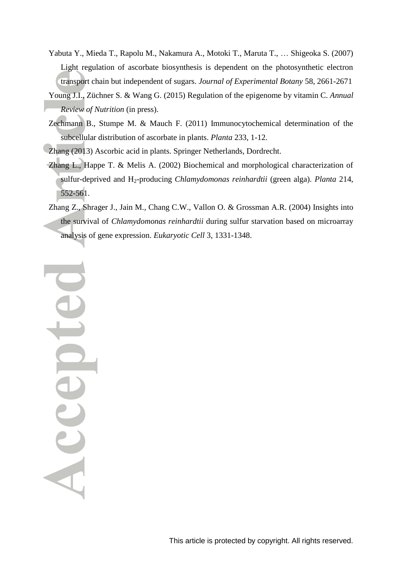- Yabuta Y., Mieda T., Rapolu M., Nakamura A., Motoki T., Maruta T., … Shigeoka S. (2007) Light regulation of ascorbate biosynthesis is dependent on the photosynthetic electron transport chain but independent of sugars. *Journal of Experimental Botany* 58, 2661-2671
- Young J.I., Züchner S. & Wang G. (2015) Regulation of the epigenome by vitamin C. *Annual Review of Nutrition* (in press).
- Zechmann B., Stumpe M. & Mauch F. (2011) Immunocytochemical determination of the subcellular distribution of ascorbate in plants. *Planta* 233, 1-12.
- Zhang (2013) Ascorbic acid in plants. Springer Netherlands, Dordrecht.
- Zhang L., Happe T. & Melis A. (2002) Biochemical and morphological characterization of sulfur-deprived and H2-producing *Chlamydomonas reinhardtii* (green alga). *Planta* 214, 552-561.
- Zhang Z., Shrager J., Jain M., Chang C.W., Vallon O. & Grossman A.R. (2004) Insights into the survival of *Chlamydomonas reinhardtii* during sulfur starvation based on microarray analysis of gene expression. *Eukaryotic Cell* 3, 1331-1348.

ICCCED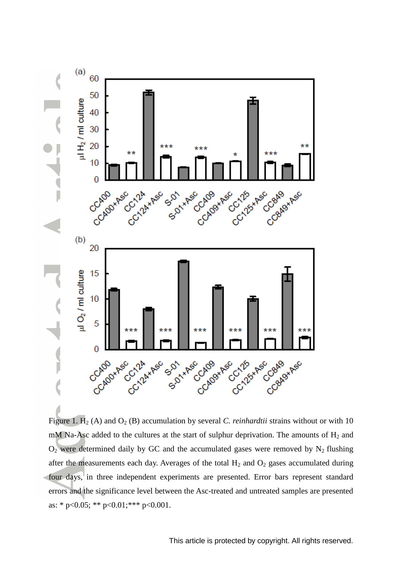

Figure 1. H<sub>2</sub> (A) and O<sub>2</sub> (B) accumulation by several *C. reinhardtii* strains without or with 10 mM Na-Asc added to the cultures at the start of sulphur deprivation. The amounts of  $H_2$  and  $O_2$  were determined daily by GC and the accumulated gases were removed by  $N_2$  flushing after the measurements each day. Averages of the total  $H_2$  and  $O_2$  gases accumulated during four days, in three independent experiments are presented. Error bars represent standard errors and the significance level between the Asc-treated and untreated samples are presented as: \* p<0.05; \*\* p<0.01;\*\*\* p<0.001.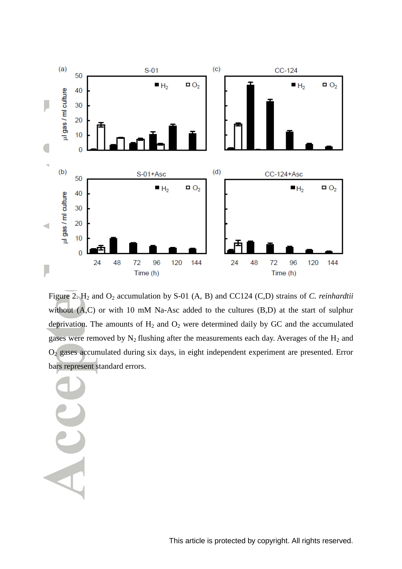

Figure 2. H<sub>2</sub> and O<sub>2</sub> accumulation by S-01 (A, B) and CC124 (C,D) strains of *C. reinhardtii* without (A,C) or with 10 mM Na-Asc added to the cultures (B,D) at the start of sulphur deprivation. The amounts of  $H_2$  and  $O_2$  were determined daily by GC and the accumulated gases were removed by  $N_2$  flushing after the measurements each day. Averages of the  $H_2$  and O<sup>2</sup> gases accumulated during six days, in eight independent experiment are presented. Error bars represent standard errors.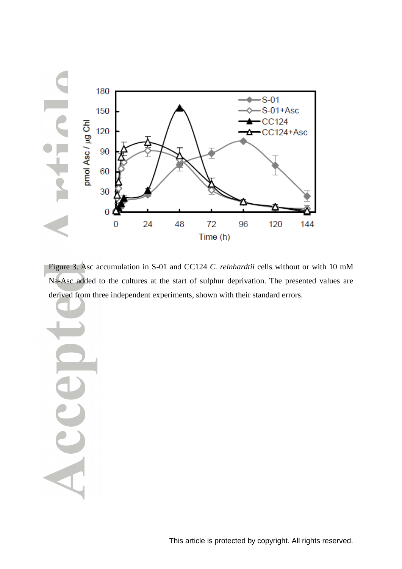

Figure 3. Asc accumulation in S-01 and CC124 *C. reinhardtii* cells without or with 10 mM Na-Asc added to the cultures at the start of sulphur deprivation. The presented values are derived from three independent experiments, shown with their standard errors.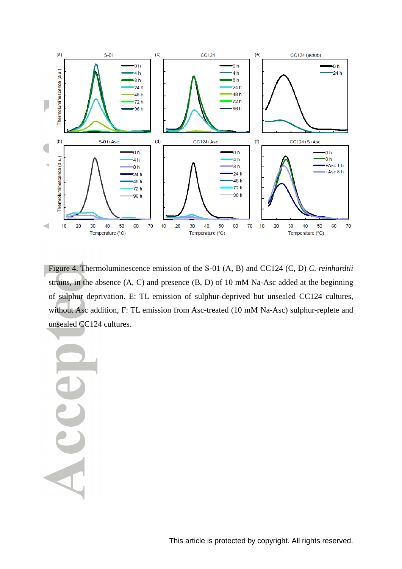

Figure 4. Thermoluminescence emission of the S-01 (A, B) and CC124 (C, D) *C. reinhardtii*  strains, in the absence (A, C) and presence (B, D) of 10 mM Na-Asc added at the beginning of sulphur deprivation. E: TL emission of sulphur-deprived but unsealed CC124 cultures, without Asc addition, F: TL emission from Asc-treated (10 mM Na-Asc) sulphur-replete and unsealed CC124 cultures.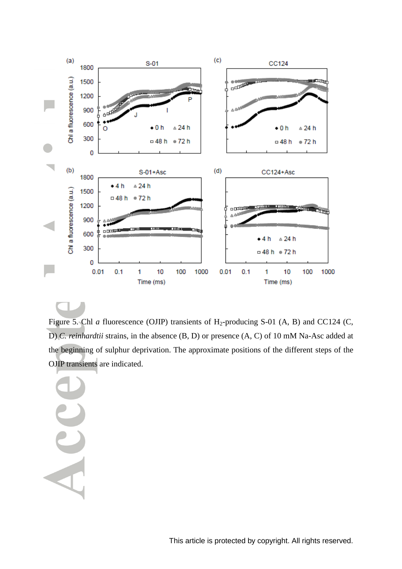

Figure 5. Chl *a* fluorescence (OJIP) transients of H<sub>2</sub>-producing S-01 (A, B) and CC124 (C, D) *C. reinhardtii* strains, in the absence (B, D) or presence (A, C) of 10 mM Na-Asc added at the beginning of sulphur deprivation. The approximate positions of the different steps of the OJIP transients are indicated.

AC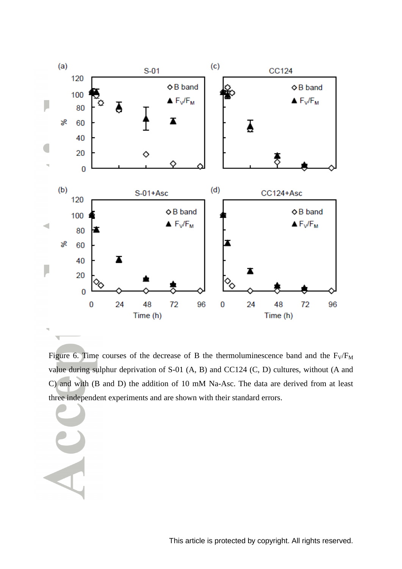

Figure 6. Time courses of the decrease of B the thermoluminescence band and the  $F_V/F_M$ value during sulphur deprivation of S-01 (A, B) and CC124 (C, D) cultures, without (A and C) and with (B and D) the addition of 10 mM Na-Asc. The data are derived from at least three independent experiments and are shown with their standard errors.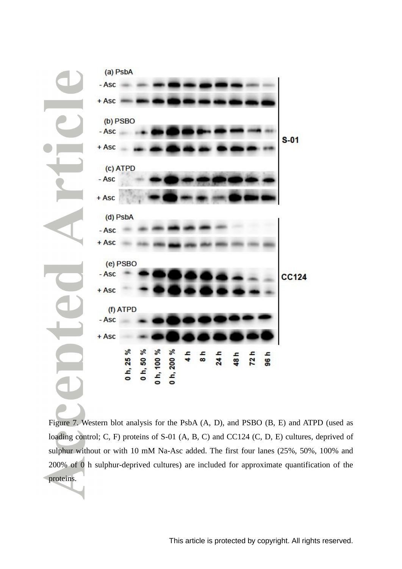

Figure 7. Western blot analysis for the PsbA (A, D), and PSBO (B, E) and ATPD (used as loading control; C, F) proteins of S-01 (A, B, C) and CC124 (C, D, E) cultures, deprived of sulphur without or with 10 mM Na-Asc added. The first four lanes (25%, 50%, 100% and 200% of 0 h sulphur-deprived cultures) are included for approximate quantification of the proteins.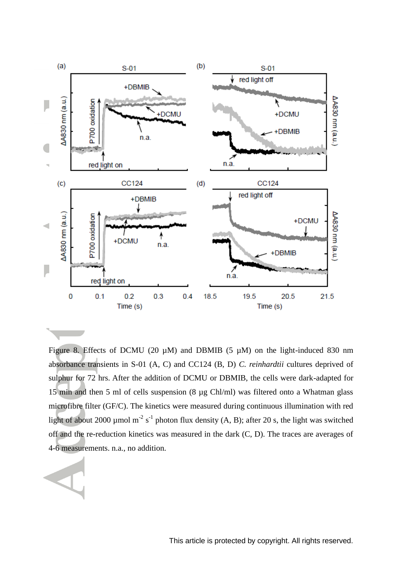

Figure 8. Effects of DCMU (20  $\mu$ M) and DBMIB (5  $\mu$ M) on the light-induced 830 nm absorbance transients in S-01 (A, C) and CC124 (B, D) *C. reinhardtii* cultures deprived of sulphur for 72 hrs. After the addition of DCMU or DBMIB, the cells were dark-adapted for 15 min and then 5 ml of cells suspension (8 µg Chl/ml) was filtered onto a Whatman glass microfibre filter (GF/C). The kinetics were measured during continuous illumination with red light of about 2000 µmol m<sup>-2</sup> s<sup>-1</sup> photon flux density (A, B); after 20 s, the light was switched off and the re-reduction kinetics was measured in the dark (C, D). The traces are averages of 4-6 measurements. n.a., no addition.